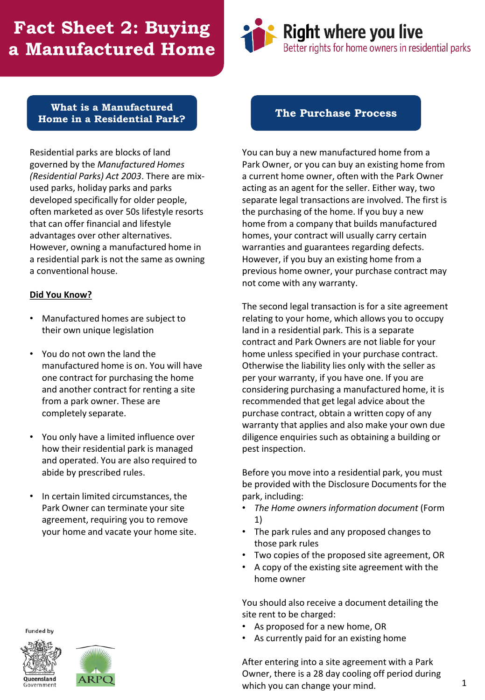# **Fact Sheet 2: Buying a Manufactured Home**



#### **What is a Manufactured Home in a Residential Park?**

Residential parks are blocks of land governed by the *Manufactured Homes (Residential Parks) Act 2003*. There are mixused parks, holiday parks and parks developed specifically for older people, often marketed as over 50s lifestyle resorts that can offer financial and lifestyle advantages over other alternatives. However, owning a manufactured home in a residential park is not the same as owning a conventional house.

#### **Did You Know?**

- Manufactured homes are subject to their own unique legislation
- You do not own the land the manufactured home is on. You will have one contract for purchasing the home and another contract for renting a site from a park owner. These are completely separate.
- You only have a limited influence over how their residential park is managed and operated. You are also required to abide by prescribed rules.
- In certain limited circumstances, the Park Owner can terminate your site agreement, requiring you to remove your home and vacate your home site.

**Funded by** 





#### **The Purchase Process**

You can buy a new manufactured home from a Park Owner, or you can buy an existing home from a current home owner, often with the Park Owner acting as an agent for the seller. Either way, two separate legal transactions are involved. The first is the purchasing of the home. If you buy a new home from a company that builds manufactured homes, your contract will usually carry certain warranties and guarantees regarding defects. However, if you buy an existing home from a previous home owner, your purchase contract may not come with any warranty.

The second legal transaction is for a site agreement relating to your home, which allows you to occupy land in a residential park. This is a separate contract and Park Owners are not liable for your home unless specified in your purchase contract. Otherwise the liability lies only with the seller as per your warranty, if you have one. If you are considering purchasing a manufactured home, it is recommended that get legal advice about the purchase contract, obtain a written copy of any warranty that applies and also make your own due diligence enquiries such as obtaining a building or pest inspection.

Before you move into a residential park, you must be provided with the Disclosure Documents for the park, including:

- *The Home owners information document* (Form 1)
- The park rules and any proposed changes to those park rules
- Two copies of the proposed site agreement, OR
- A copy of the existing site agreement with the home owner

You should also receive a document detailing the site rent to be charged:

- As proposed for a new home, OR
- As currently paid for an existing home

After entering into a site agreement with a Park Owner, there is a 28 day cooling off period during which you can change your mind.